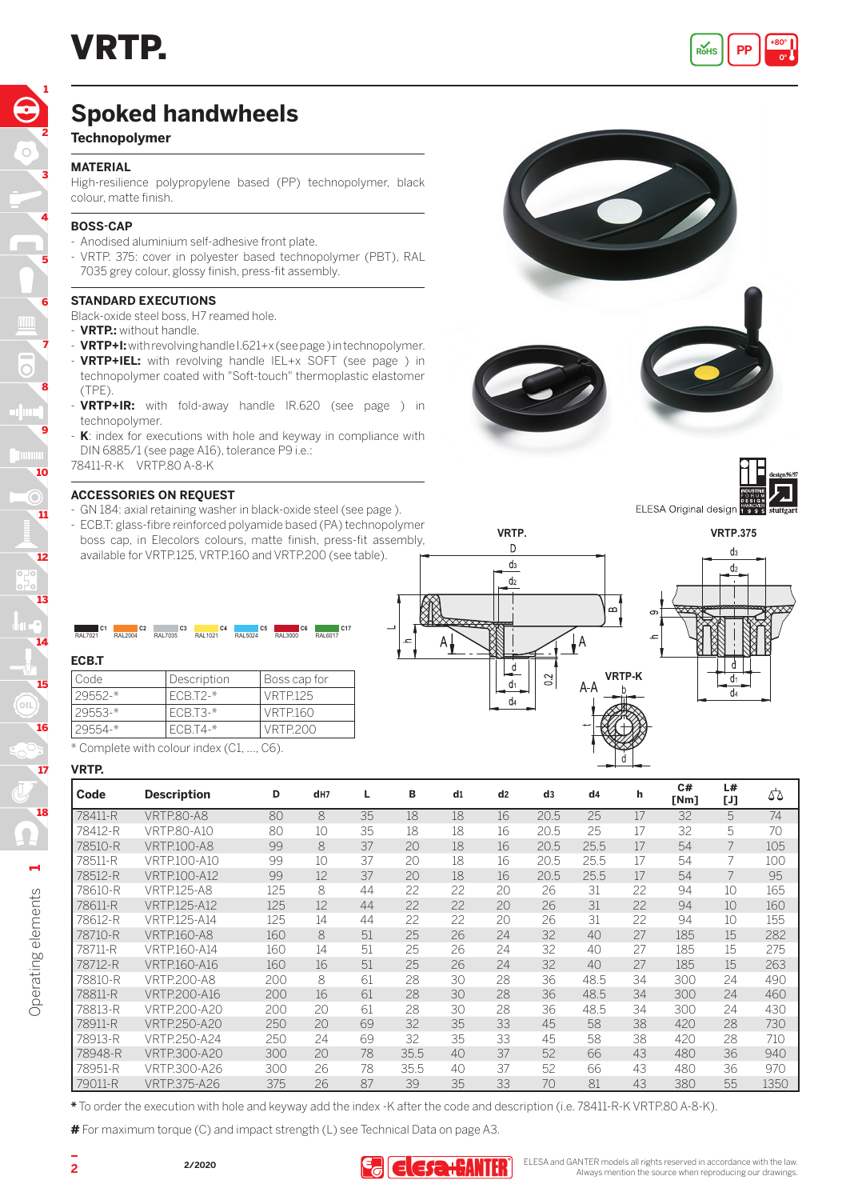

# **Spoked handwheels**

# **Technopolymer**

#### **MATERIAL**

High-resilience polypropylene based (PP) technopolymer, black colour, matte finish.

### **BOSS-CAP**

- Anodised aluminium self-adhesive front plate.
- VRTP. 375: cover in polyester based technopolymer (PBT), RAL 7035 grey colour, glossy finish, press-fit assembly.

#### **STANDARD EXECUTIONS**

Black-oxide steel boss, H7 reamed hole.

- **VRTP.:** without handle.
- **VRTP+I:** with revolving handle I.621+x (see page ) in technopolymer. - **VRTP+IEL:** with revolving handle IEL+x SOFT (see page ) in technopolymer coated with "Soft-touch" thermoplastic elastomer (TPE).
- **VRTP+IR:** with fold-away handle IR.620 (see page ) in technopolymer.
- K: index for executions with hole and keyway in compliance with DIN 6885/1 (see page A16), tolerance P9 i.e.:
- 78411-R-K VRTP.80 A-8-K

#### **ACCESSORIES ON REQUEST**

- GN 184: axial retaining washer in black-oxide steel (see page ).
- ECB.T: glass-fibre reinforced polyamide based (PA) technopolymer boss cap, in Elecolors colours, matte finish, press-fit assembly, available for VRTP.125, VRTP.160 and VRTP.200 (see table).

| C <sub>1</sub>  | C <sub>2</sub>  | C <sub>3</sub> | C <sub>4</sub> | C <sub>5</sub>  | C <sub>6</sub> | C <sub>17</sub> |
|-----------------|-----------------|----------------|----------------|-----------------|----------------|-----------------|
| <b>RAI 7021</b> | <b>RAI 2004</b> | RAL7035        | RAI 1021       | <b>RAI 5024</b> | RAL3000        | RAL6017         |
|                 |                 |                |                |                 |                |                 |

## **ECB.T**

14

13

12

11

10

 $\circ$ 

9

8

7

6

5

m,

4

3

2

1

| l Code      | Description | Boss cap for    |
|-------------|-------------|-----------------|
| $29552 -$ * | $FCB.T2-*$  | <b>VRTP.125</b> |
| $29553 -$ * | ECB.T3-*    | <b>VRTP.160</b> |
| $29554 -$ * | ECB.T4-*    | VRTP 200        |

\* Complete with colour index (C1, ..., C6).

#### **VRTP.**

| Code    | <b>Description</b>  | D   | d <sub>H7</sub> | L  | в    | d1 | d <sub>2</sub> | d3   | dd4  | h  | C#<br>[Nm] | L#<br>[J] | 55   |
|---------|---------------------|-----|-----------------|----|------|----|----------------|------|------|----|------------|-----------|------|
| 78411-R | <b>VRTP.80-A8</b>   | 80  | 8               | 35 | 18   | 18 | 16             | 20.5 | 25   | 17 | 32         | 5         | 74   |
| 78412-R | VRTP.80-A10         | 80  | 10              | 35 | 18   | 18 | 16             | 20.5 | 25   | 17 | 32         | 5         | 70   |
| 78510-R | <b>VRTP.100-A8</b>  | 99  | 8               | 37 | 20   | 18 | 16             | 20.5 | 25.5 | 17 | 54         |           | 105  |
| 78511-R | VRTP.100-A10        | 99  | 10              | 37 | 20   | 18 | 16             | 20.5 | 25.5 | 17 | 54         |           | 100  |
| 78512-R | <b>VRTP.100-A12</b> | 99  | 12              | 37 | 20   | 18 | 16             | 20.5 | 25.5 | 17 | 54         |           | 95   |
| 78610-R | <b>VRTP.125-A8</b>  | 125 | 8               | 44 | 22   | 22 | 20             | 26   | 31   | 22 | 94         | 10        | 165  |
| 78611-R | <b>VRTP.125-A12</b> | 125 | 12              | 44 | 22   | 22 | 20             | 26   | 31   | 22 | 94         | 10        | 160  |
| 78612-R | VRTP.125-A14        | 125 | 14              | 44 | 22   | 22 | 20             | 26   | 31   | 22 | 94         | 10        | 155  |
| 78710-R | <b>VRTP.160-A8</b>  | 160 | 8               | 51 | 25   | 26 | 24             | 32   | 40   | 27 | 185        | 15        | 282  |
| 78711-R | VRTP.160-A14        | 160 | 14              | 51 | 25   | 26 | 24             | 32   | 40   | 27 | 185        | 15        | 275  |
| 78712-R | VRTP.160-A16        | 160 | 16              | 51 | 25   | 26 | 24             | 32   | 40   | 27 | 185        | 15        | 263  |
| 78810-R | <b>VRTP.200-A8</b>  | 200 | 8               | 61 | 28   | 30 | 28             | 36   | 48.5 | 34 | 300        | 24        | 490  |
| 78811-R | <b>VRTP.200-A16</b> | 200 | 16              | 61 | 28   | 30 | 28             | 36   | 48.5 | 34 | 300        | 24        | 460  |
| 78813-R | VRTP.200-A20        | 200 | 20              | 61 | 28   | 30 | 28             | 36   | 48.5 | 34 | 300        | 24        | 430  |
| 78911-R | VRTP.250-A20        | 250 | 20              | 69 | 32   | 35 | 33             | 45   | 58   | 38 | 420        | 28        | 730  |
| 78913-R | VRTP.250-A24        | 250 | 24              | 69 | 32   | 35 | 33             | 45   | 58   | 38 | 420        | 28        | 710  |
| 78948-R | <b>VRTP.300-A20</b> | 300 | 20              | 78 | 35.5 | 40 | 37             | 52   | 66   | 43 | 480        | 36        | 940  |
| 78951-R | VRTP.300-A26        | 300 | 26              | 78 | 35.5 | 40 | 37             | 52   | 66   | 43 | 480        | 36        | 970  |
| 79011-R | <b>VRTP.375-A26</b> | 375 | 26              | 87 | 39   | 35 | 33             | 70   | 81   | 43 | 380        | 55        | 1350 |

**\*** To order the execution with hole and keyway add the index -K after the code and description (i.e. 78411-R-K VRTP.80 A-8-K).

**#** For maximum torque (C) and impact strength (L) see Technical Data on page A3.



ELESA Original design